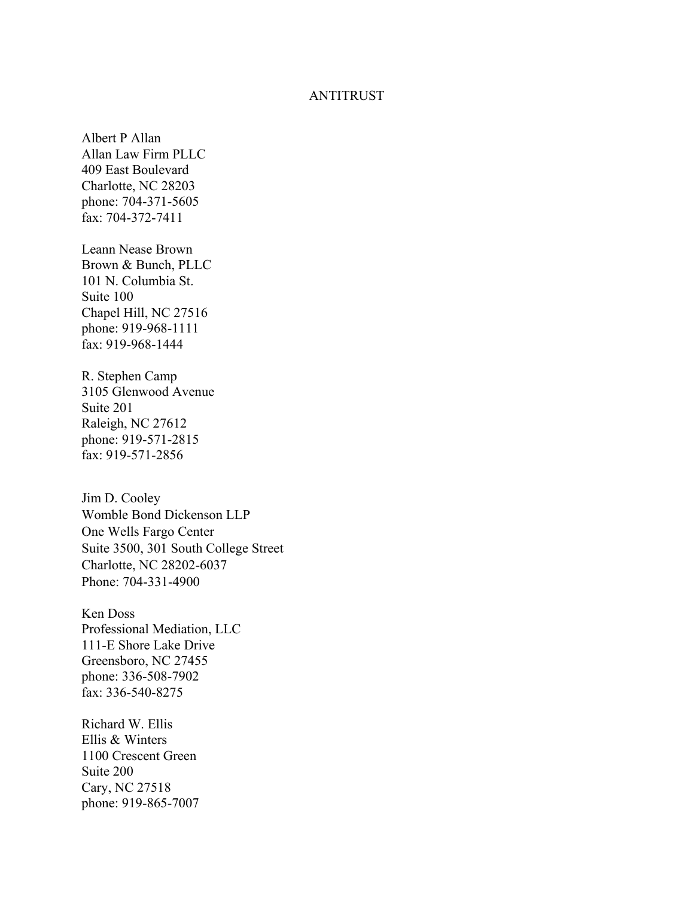## ANTITRUST

Albert P Allan Allan Law Firm PLLC 409 East Boulevard Charlotte, NC 28203 phone: 704-371-5605 fax: 704-372-7411

Leann Nease Brown Brown & Bunch, PLLC 101 N. Columbia St. Suite 100 Chapel Hill, NC 27516 phone: 919-968-1111 fax: 919-968-1444

R. Stephen Camp 3105 Glenwood Avenue Suite 201 Raleigh, NC 27612 phone: 919-571-2815 fax: 919-571-2856

Jim D. Cooley Womble Bond Dickenson LLP One Wells Fargo Center Suite 3500, 301 South College Street Charlotte, NC 28202-6037 Phone: 704-331-4900

Ken Doss Professional Mediation, LLC 111-E Shore Lake Drive Greensboro, NC 27455 phone: 336-508-7902 fax: 336-540-8275

Richard W. Ellis Ellis & Winters 1100 Crescent Green Suite 200 Cary, NC 27518 phone: 919-865-7007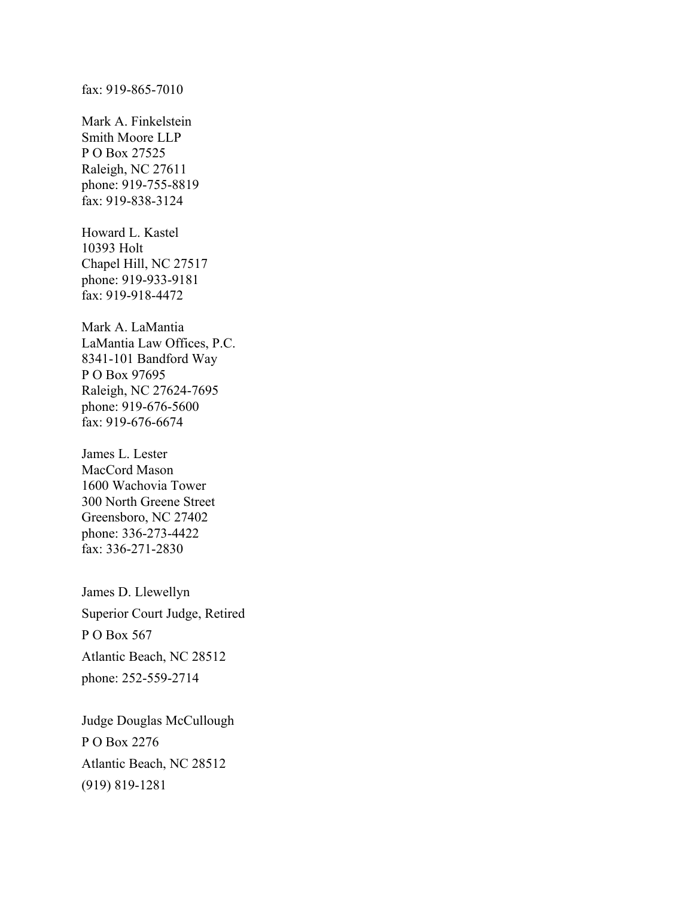## fax: 919-865-7010

Mark A. Finkelstein Smith Moore LLP P O Box 27525 Raleigh, NC 27611 phone: 919-755-8819 fax: 919-838-3124

Howard L. Kastel 10393 Holt Chapel Hill, NC 27517 phone: 919-933-9181 fax: 919-918-4472

Mark A. LaMantia LaMantia Law Offices, P.C. 8341-101 Bandford Way P O Box 97695 Raleigh, NC 27624-7695 phone: 919-676-5600 fax: 919-676-6674

James L. Lester MacCord Mason 1600 Wachovia Tower 300 North Greene Street Greensboro, NC 27402 phone: 336-273-4422 fax: 336-271-2830

James D. Llewellyn Superior Court Judge, Retired P O Box 567 Atlantic Beach, NC 28512 phone: 252-559-2714

Judge Douglas McCullough P O Box 2276 Atlantic Beach, NC 28512 (919) 819-1281